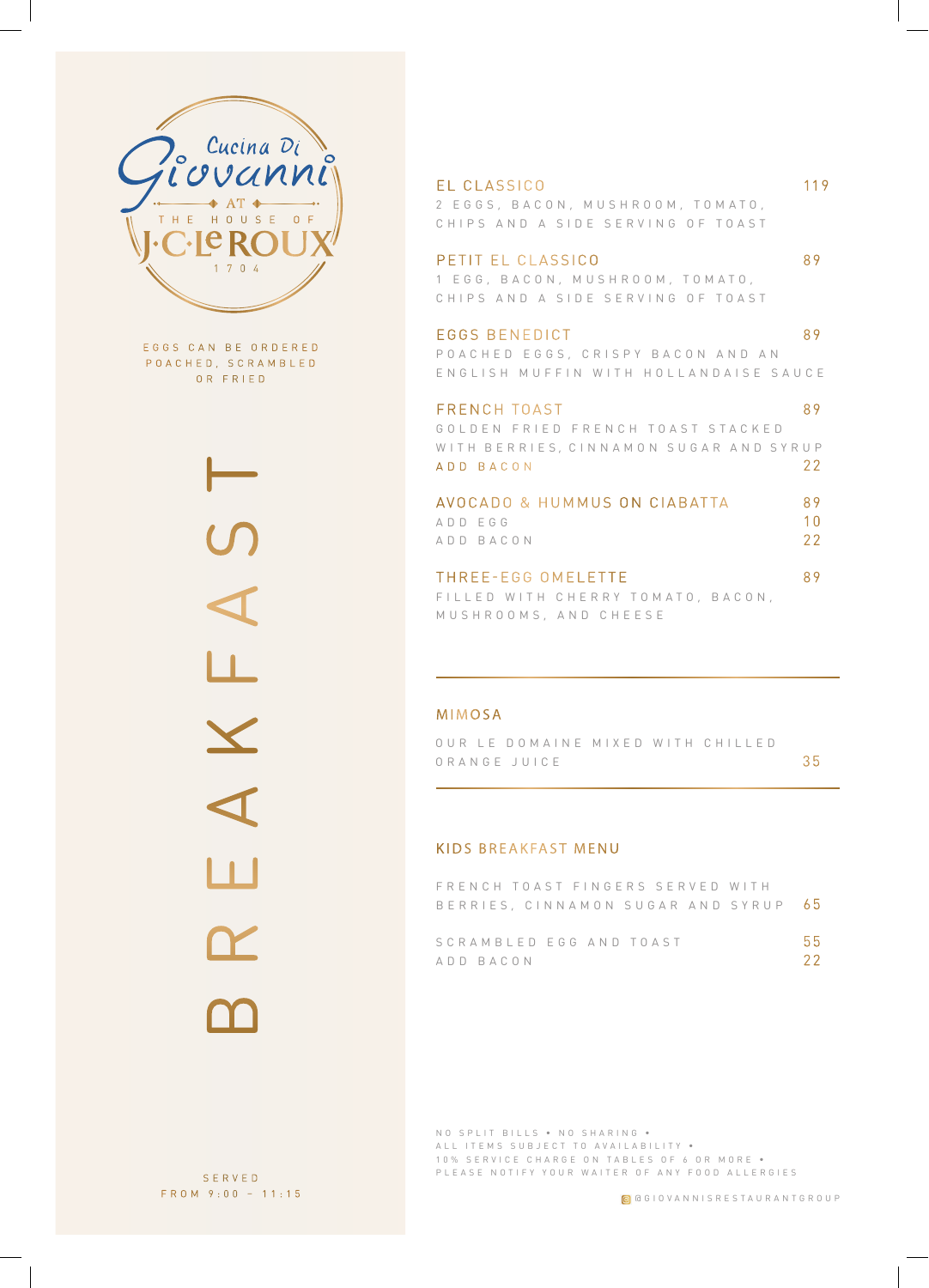

E G G S C A N B E O R D E R E D POACHED, SCRAMBLED OR FRIED



#### EL CLASSICO 119

2 E G G S , B A C O N , M U S H R O O M , T O M A T O , CHIPS AND A SIDE SERVING OF TOAST

#### PETIT EL CLASSICO 89

1 E G G , B A C O N , M U S H R O O M , T O M A T O , CHIPS AND A SIDE SERVING OF TOAST

#### E GGS BENEDICT 89

P O A C H E D E G G S , C R I S P Y B A C O N A N D A N ENGLISH MUFFIN WITH HOLLANDAISE SAUCE

#### FRENCH TOAST 89 GOLDEN FRIED FRENCH TOAST STACKED WITH BERRIES, CINNAMON SUGAR AND SYRUP ADD BACON 22

| AVOCADO & HUMMUS ON CIABATTA |  | 89   |
|------------------------------|--|------|
| ADD FGG                      |  | 1 N  |
| ADD BACON                    |  | -22. |

### THREE-EGG OMELETTE 89 FILLED WITH CHERRY TOMATO, BACON,

MUSHROOMS, AND CHEESE

#### MIMOSA

OUR LE DOMAINE MIXED WITH CHILLED O R A N G E J U I C E 35

#### KIDS BREAKFAST MENU

|           |  | FRENCH TOAST FINGERS SERVED WITH |                                      |      |
|-----------|--|----------------------------------|--------------------------------------|------|
|           |  |                                  | BERRIES, CINNAMON SUGAR AND SYRUP 65 |      |
|           |  |                                  |                                      |      |
|           |  | SCRAMBLED EGG AND TOAST          |                                      | .55  |
| ANN RACON |  |                                  |                                      | -22. |

NO SPLIT BILLS • NO SHARING • ALL ITEMS SUBJECT TO AVAILABILITY . 10% SERVICE CHARGE ON TABLES OF 6 OR MORE . PLEASE NOTIFY YOUR WAITER OF ANY FOOD ALLERGIES

SERVED FROM 9:00 – 11:15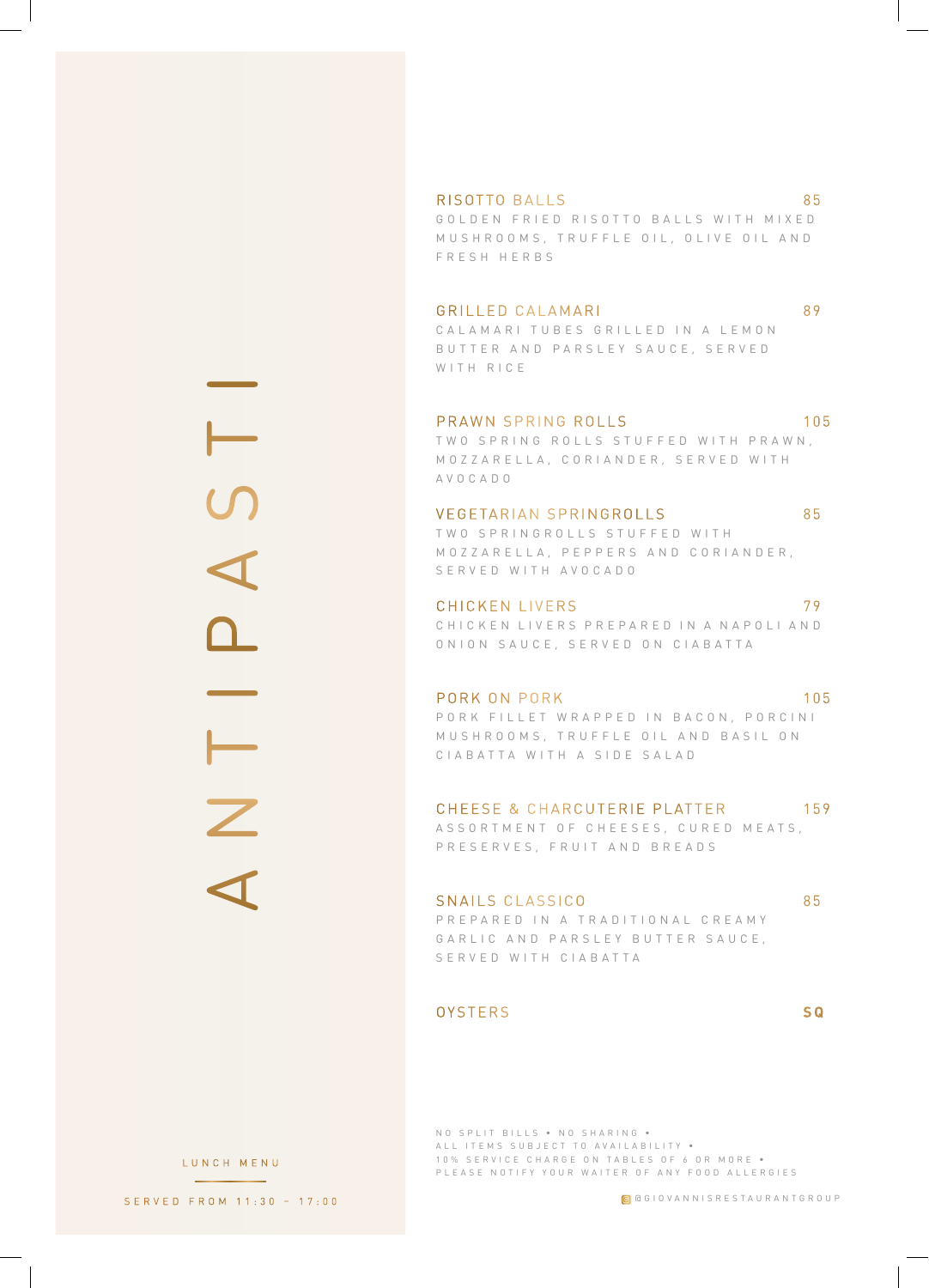ANTIPASTI ÷  $\overline{z}$ 

#### RISOTTO BALLS 85

GOLDEN FRIED RISOTTO BALLS WITH MIXED M U S H R O O M S, T R U F F L E O I L , O L I V E O I L A N D FRESH HERBS

#### GRILLED CALAMARI 89

C A L A M A R I T U B E S G R I L L E D I N A L E M O N B U T T E R A N D P A R S L E Y S A U C E , S E R V E D WITH RICE

#### PRAWN SPRING ROLLS 105

TWO SPRING ROLLS STUFFED WITH PRAWN, M O Z Z A R E L L A , C O R I A N D E R , S E R V E D W I T H AVOCADO

#### VEGETARIAN SPRINGROLLS 85

TWO SPRINGROLLS STUFFED WITH MOZZARELLA, PEPPERS AND CORIANDER, SERVED WITH AVOCADO

#### CHICKEN LIVERS 79 C H I C K E N L I V E R S P R E P A R E D I N A N A P O L I A N D ONION SAUCE, SERVED ON CIABATTA

PORK ON PORK 105 P O R K FILLET WRAPPED IN BACON, PORCINI MUSHROOMS, TRUFFLE OIL AND BASIL ON CIABATTA WITH A SIDE SALAD

#### CHEESE & CHARCUTERIE PLATTER 159

A S S O R T M E N T O F C H E E S E S, C U R E D M E A T S, PRESERVES, FRUIT AND BREADS

#### SNAILS CLASSICO 85 P R E P A R E D I N A T R A D I T I O N A L C R E A M Y GARLIC AND PARSLEY BUTTER SAUCE, SERVED WITH CIABATTA

#### OYSTERS **S Q**

NO SPLIT BILLS • NO SHARING • ALL ITEMS SUBJECT TO AVAILABILITY . 10% SERVICE CHARGE ON TABLES OF 6 OR MORE . PLEASE NOTIFY YOUR WAITER OF ANY FOOD ALLERGIES

SERVED FROM 11:30 – 17:00

LUNCH MENU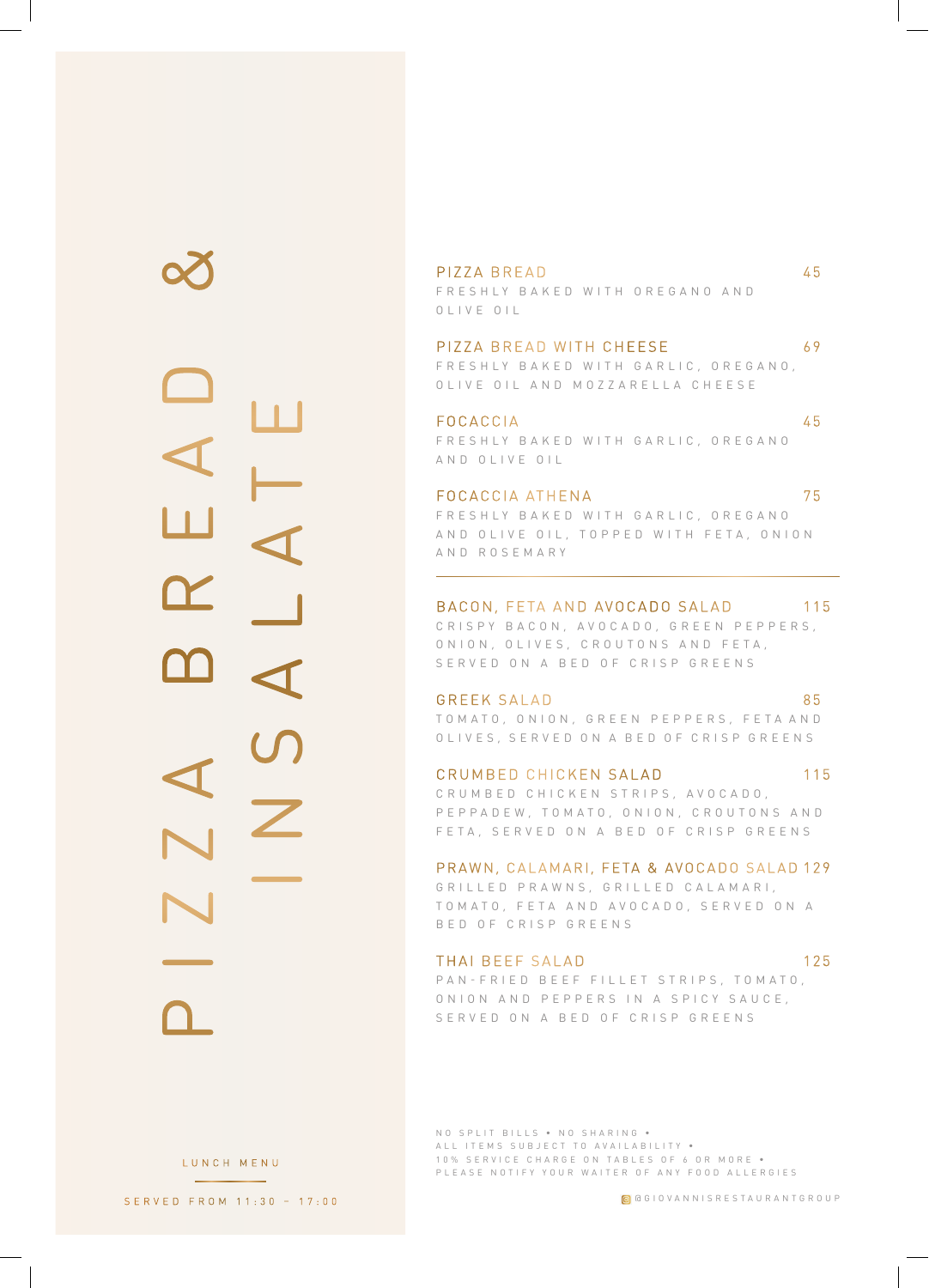PIZZA BREAD & INSALATE

P I Z Z A B R E A D 45

FRESHLY BAKED WITH OREGANO AND OLIVE OIL

#### PIZZA BREAD WITH CHEESE 69

FRESHLY BAKED WITH GARLIC, OREGANO, OLIVE OIL AND MOZZARELLA CHEESE

FOCACCIA 45 FRESHLY BAKED WITH GARLIC, OREGANO AND OLIVE OIL

#### FOCACCIA ATHENA 75

FRESHLY BAKED WITH GARLIC, OREGANO AND OLIVE OIL, TOPPED WITH FETA, ONION AND ROSEMARY

#### BACON, FETA AND AVOCADO SALAD 115

CRISPY BACON, AVOCADO, GREEN PEPPERS, O N I O N , O L I V E S , C R O U T O N S A N D F E T A , SERVED ON A BED OF CRISP GREENS

GREEK SALAD 85

TO M A TO, ONION, GREEN PEPPERS, FETA AND OLIVES, SERVED ON A BED OF CRISP GREENS

CRUMBED CHICKEN SALAD 115 C R U M B E D C H I C K E N S T R I P S , A V O C A D O , P E P P A D E W , T O M A T O , O N I O N , C R O U T O N S A N D FETA, SERVED ON A BED OF CRISP GREENS

PRAWN, CALAMARI, FETA & AVOCADO SALAD 129

G R I L L E D P R A W N S , G R I L L E D C A L A M A R I , TO MATO, FETA AND AVOCADO, SERVED ON A BED OF CRISP GREENS

THAI BEEF SALAD 125

PAN - FRIED BEEF FILLET STRIPS, TOMATO, O N I O N A N D P E P P E R S I N A S P I C Y S A U C E , SERVED ON A BED OF CRISP GREENS

NO SPLIT BILLS • NO SHARING • ALL ITEMS SUBJECT TO AVAILABILITY . 10% SERVICE CHARGE ON TABLES OF 6 OR MORE . PLEASE NOTIFY YOUR WAITER OF ANY FOOD ALLERGIES

@GIOVANNISRESTAURANTGROUP

LUNCH MENU

SERVED FROM 11:30 – 17:00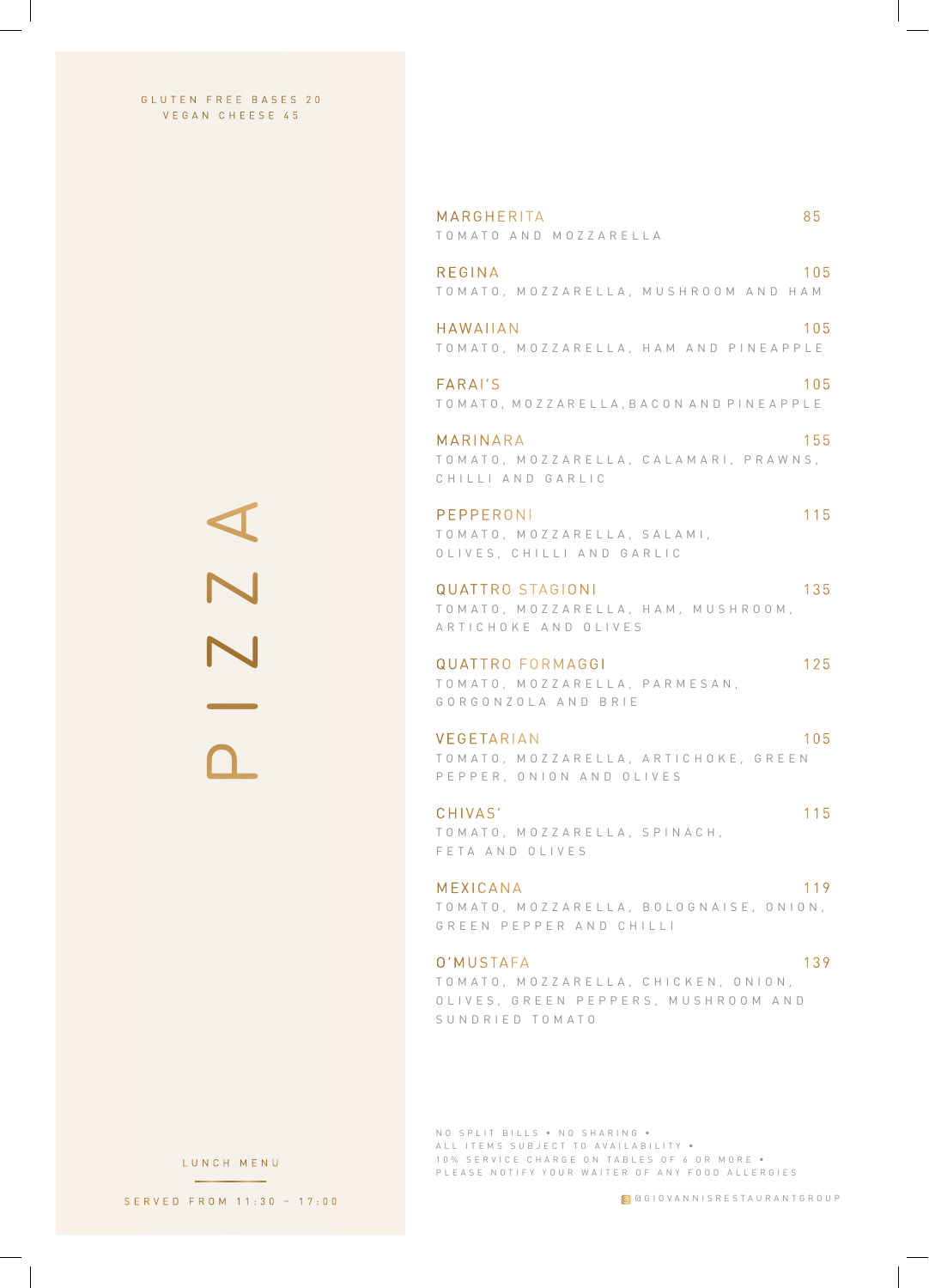GLUTEN FREE BASES 20 VEGAN CHEESE 45

> PIZZA  $\frac{1}{2}$

MARGHERITA 85 TOMATO AND MOZZARELLA REGINA 105 TOMATO, MOZZARELLA, MUSHROOM AND HAM HAWAIIAN 105 TOMATO, MOZZARELLA, HAM AND PINEAPPLE FARAI'S 105 T O M A T O , M O Z Z A R E L L A , B A C O N A N D P I N E A P P L E MARINARA 155 TO MATO, MOZZARELLA, CALAMARI, PRAWNS, CHILLI AND GARLIC PEPPERONI 115 TOMATO, MOZZARELLA, SALAMI, OLIVES, CHILLI AND GARLIC QUATTRO STAGIONI 135 TO M A T O , M O Z Z A R E L L A , H A M , M U S H R O O M , ARTICHOKE AND OLIVES QUATTRO FORMAGGI 125 TOMATO, MOZZARELLA, PARMESAN, GORGONZOLA AND BRIE VEGETARIAN 105 TO M A T O , M O Z Z A R E L L A , A R T I C H O K E , G R E E N PEPPER, ONION AND OLIVES CHIVAS' 115 TOMATO, MOZZARELLA, SPINACH, FETA AND OLIVES MEXICANA 119 T O M A T O , M O Z Z A R E L L A , B O L O G N A I S E , O N I O N , GREEN PEPPER AND CHILLI O'MUSTAFA 139 TOMATO, MOZZARELLA, CHICKEN, ONION, OLIVES, GREEN PEPPERS, MUSHROOM AND SUNDRIED TOMATO

NO SPLIT BILLS • NO SHARING • ALL ITEMS SUBJECT TO AVAILABILITY . 10% SERVICE CHARGE ON TABLES OF 6 OR MORE . PLEASE NOTIFY YOUR WAITER OF ANY FOOD ALLERGIES

LUNCH MENU

SERVED FROM 11:30 – 17:00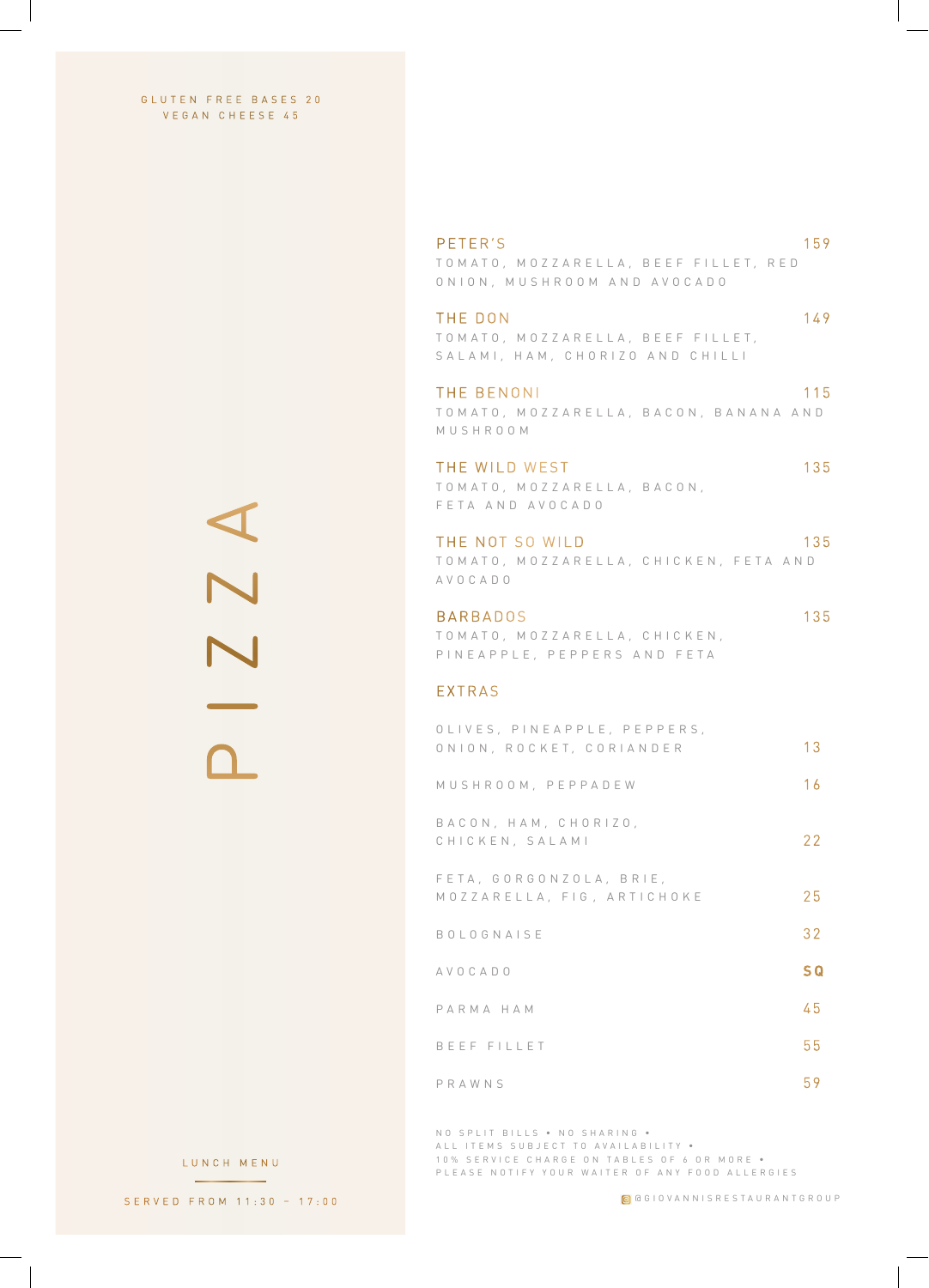GLUTEN FREE BASES 20 VEGAN CHEESE 45

> PIZZA 2 Z A

PETER'S 159 TO M A T O , M O Z Z A R E L L A , B E E F F I L L E T , R E D ONION, MUSHROOM AND AVOCADO THE DON 149 T O M A T O , M O Z Z A R E L L A , B E E F F I L L E T , SALAMI, HAM, CHORIZO AND CHILLI THE BENONI 115 TO MATO, MOZZARELLA, BACON, BANANA AND MUSHROOM THE WILD WEST 135 TOMATO, MOZZARELLA, BACON, F E T A A N D A V O C A D O THE NOT SO WILD 135 TO M A TO, M O Z Z A R E L L A , C H I C K E N , F E T A A N D AVOCADO BARBADOS 135 TOMATO, MOZZARELLA, CHICKEN, PINEAPPLE, PEPPERS AND FETA EXTRAS OLIVES, PINEAPPLE, PEPPERS, ONION, ROCKET, CORIANDER 13 M U S H R O O M , P E P P A D E W 16 BACON, HAM, CHORIZO, C H I C K E N , S A L A M I 22 FETA, GORGONZOLA, BRIE, MOZZARELLA, FIG, ARTICHOKE 25 BOLOGNAISE 32 AVOCADO **S Q**

P A R M A H A M 45 B E E F F I L L E T 55

PRAWNS 59

NO SPLIT BILLS • NO SHARING • ALL ITEMS SUBJECT TO AVAILABILITY . 10% SERVICE CHARGE ON TABLES OF 6 OR MORE . PLEASE NOTIFY YOUR WAITER OF ANY FOOD ALLERGIES

LUNCH MENU

SERVED FROM 11:30 – 17:00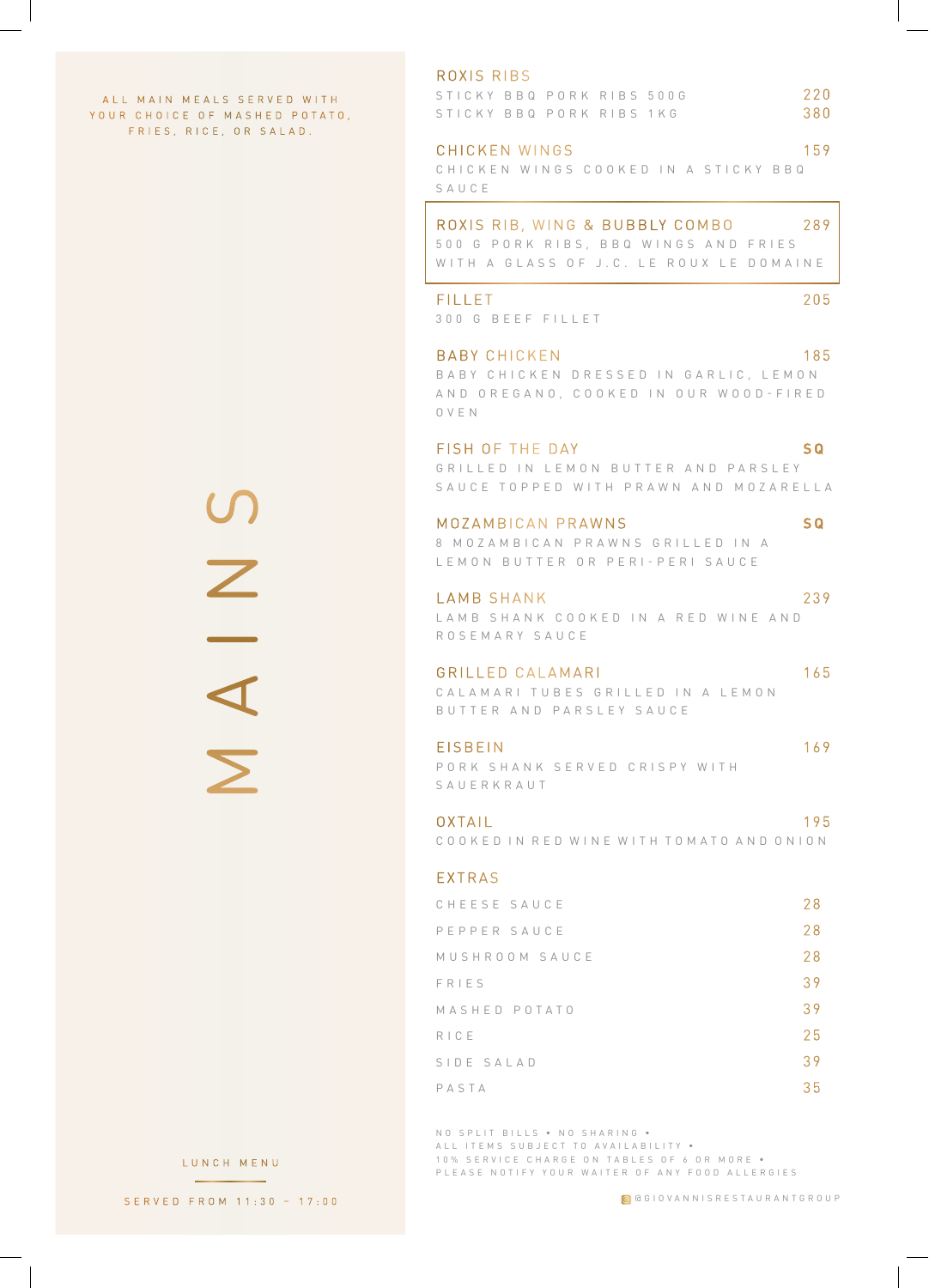A L L MAIN MEALS SERVED WITH YOUR CHOICE OF MASHED POTATO, FRIES, RICE, OR SALAD.

> MAINS U<br>Z I A I

#### ROXIS RIBS

| STICKY BBQ PORK RIBS 500G |  |  | 220 |
|---------------------------|--|--|-----|
| STICKY BBQ PORK RIBS 1KG  |  |  | 380 |

#### CHICKEN WINGS 159 C H I C K E N W I N G S C O O K E D I N A S T I C K Y B B Q SAUCE

#### ROXIS RIB, WING & BUBBLY COMBO 289

500 G PORK RIBS, BBQ WINGS AND FRIES WITH A GLASS OF J.C. LE ROUX LE DOMAINE

#### FILLET 205

3 0 0 G B E E F F I L L E T

BABY CHICKEN 185

B A B Y C H I C K E N D R E S S E D IN G A R L I C , L E M O N A N D O R E G A N O , C O O K E D I N O U R W O O D - F I R E D OVEN

### FISH OF THE DAY **S Q** GRILLED IN LEMON BUTTER AND PARSLEY

SAUCE TOPPED WITH PRAWN AND MOZARELLA

#### M OZ A M B I CA N P R AW N S **S Q**

8 M O Z A M B I C A N P R A W N S G R I L L E D I N A LEMON BUTTER OR PERI-PERI SAUCE

#### LAMB SHANK 239

LAMB SHANK COOKED IN A RED WINE AND ROSEMARY SAUCE

#### GRILLED CALAMARI 165

C A L A M A R I T U B E S G R I L L E D IN A L E M O N BUTTER AND PARSLEY SAUCE

#### EISBEIN 169

P O R K S H A N K S E R V E D C R I S P Y W I T H SAUERKRAUT

#### OXTAIL 195

C O O K E D IN R E D W I N E W I T H T O M A T O A N D O N I O N

#### EXTRAS

| CHEESE SAUCE   | 28 |
|----------------|----|
| PEPPER SAUCE   | 28 |
| MUSHROOM SAUCE | 28 |
| FRIES          | 39 |
| MASHED POTATO  | 39 |
| RICE           | 25 |
| SIDE SALAD     | 39 |
| PASTA          | 35 |

NO SPLIT BILLS • NO SHARING • ALL ITEMS SUBJECT TO AVAILABILITY . 10% SERVICE CHARGE ON TABLES OF 6 OR MORE . PLEASE NOTIFY YOUR WAITER OF ANY FOOD ALLERGIES

LUNCH MENU

SERVED FROM 11:30 – 17:00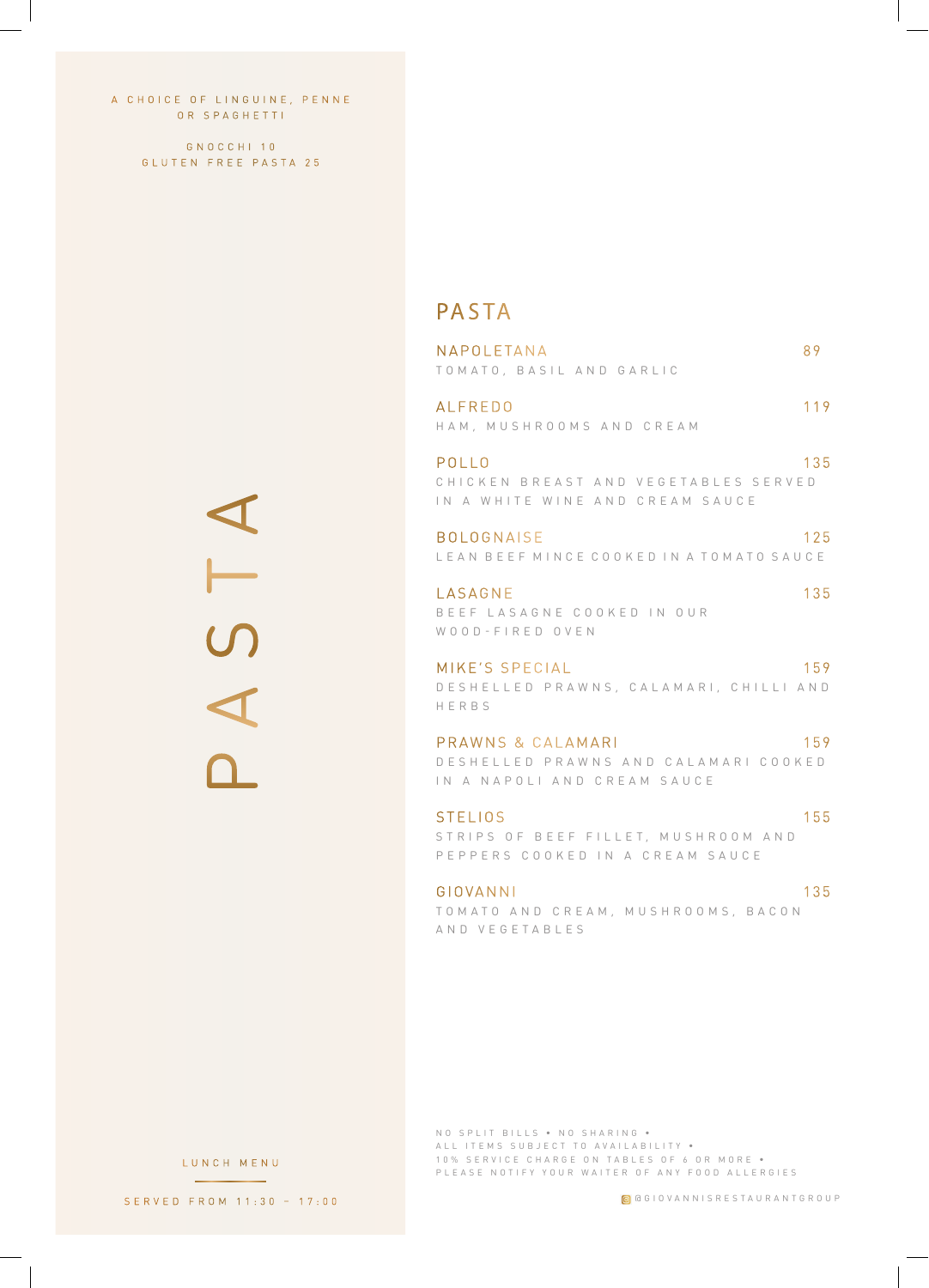A CHOICE OF LINGUINE, PENNE OR SPAGHETTI

> GNOCCHI 10 GLUTEN FREE PASTA 25

> > PASTA A 5 T

## PASTA

| NAPOLETANA<br>TOMATO, BASIL AND GARLIC                                                   | 89  |
|------------------------------------------------------------------------------------------|-----|
| AI FREDO<br>HAM, MUSHROOMS AND CREAM                                                     | 119 |
| POLLO<br>CHICKEN BREAST AND VEGETABLES SERVED<br>IN A WHITE WINE AND CREAM SAUCE         | 135 |
| <b>BOLOGNAISE</b><br>LEAN BEEF MINCE COOKED IN A TOMATO SAUCE                            | 125 |
| LASAGNE<br>BEEF LASAGNE COOKED IN OUR<br>WOOD-FIRED OVEN                                 | 135 |
| MIKE'S SPECIAL<br>DESHELLED PRAWNS, CALAMARI, CHILLI AND<br>HERBS                        | 159 |
| PRAWNS & CALAMARI<br>DESHELLED PRAWNS AND CALAMARI COOKED<br>IN A NAPOLI AND CREAM SAUCE | 159 |
| <b>STELIOS</b>                                                                           | 155 |

STRIPS OF BEEF FILLET, MUSHROOM AND PEPPERS COOKED IN A CREAM SAUCE

GIOVANNI 135 TOMATO AND CREAM, MUSHROOMS, BACON AND VEGETABLES

NO SPLIT BILLS • NO SHARING • ALL ITEMS SUBJECT TO AVAILABILITY • 10% SERVICE CHARGE ON TABLES OF 6 OR MORE . PLEASE NOTIFY YOUR WAITER OF ANY FOOD ALLERGIES

@GIOVANNISRESTAURANTGROUP

LUNCH MENU

SERVED FROM 11:30 – 17:00